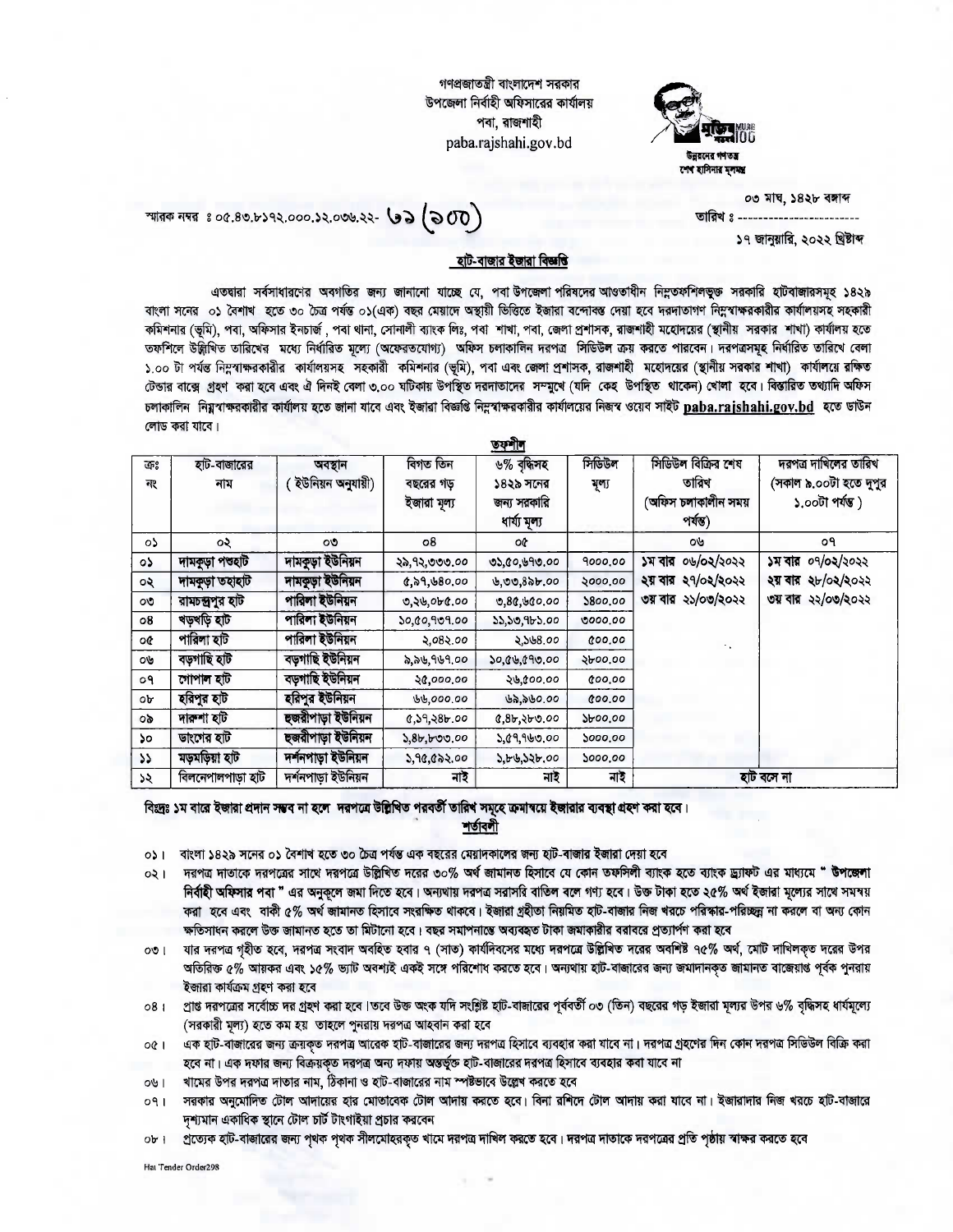গণপ্রজাতন্ত্রী বাংলাদেশ সরকার উপজেলা নিৰ্বাহী অফিসাৱের কাৰ্যালয় পবা, রাজশাহী paba.rajshahi.gov.bd



০৩ মাঘ, ১৪২৮ বঙ্গাব্দ তারিখ ঃ -------------------------১৭ জানুয়ারি, ২০২২ খ্রিষ্টাব্দ

স্মারক নম্বর ঃ ০৫.৪৩.৮১৭২.০০০.১২.০৩৬.২২- **৩১ (১০**00)

## <u>হাট-বাজার ইজারা বিজ্ঞতি</u>

এতদ্বারা সর্বসাধারণের অবগতির জন্য জানানো যাচ্ছে যে, পবা উপজেলা পরিষদের আওতাধীন নিম্নতফশিলভুক্ত সরকারি হাটবাজারসমূহ ১৪২৯ বাংলা সনের ০১ বৈশাখ হতে ৩০ চৈত্র পর্যন্ত ০১(এক) বছর মেয়াদে অন্থায়ী ভিত্তিতে ইজারা বন্দোব্য হেবে দরদাতাগণ নিম্নবাক্ষরকারীর কার্যালয়সহ সহকারী কমিশনার (ভূমি), পবা, অফিসার ইনচার্জ , পবা থানা, সোনালী ব্যাংক লিঃ, পবা শাখা, পবা, জেলা প্রশাসক, রাজশাহী মহোদয়ের (স্থানীয় সরকার শাখা) কার্যালয় হতে তফশিলে উদ্ধিখিত তারিখের মধ্যে নির্ধারিত মূল্যে (অফেরতযোগ্য) অফিস চলাকালিন দরপত্র সিডিউল ক্রয় করতে পারবেন। দরপত্রসমূহ নির্ধারিত তারিখে বেলা ১.০০ টা পর্যন্ত নিম্নবাক্ষরকারীর কার্যালয়সহ সহকারী কমিশনার (ভূমি), পবা এবং জেলা প্রশাসক, রাজশাহী মহোদয়ের (স্থানীয় সরকার শাখা) কার্যালয়ে রক্ষিত টেন্ডার বাক্সে গ্রহণ করা হবে এবং ঐ দিনই বেলা ৩,০০ ঘটিকায় উপস্থিত দরদাতাদের সম্মুখে (যদি কেহ উপস্থিত থাকেন) খোলা হবে। বিস্তারিত তথ্যাদি অফিস চলাকালিন নিয়ুবাক্ষরকারীর কার্যালয় হতে জানা যাবে এবং ইজারা বিজ্ঞতি নিম্নবাক্ষরকারীর কার্যালয়ের নিজস্ব ওয়েব সাইট paba.raishahi.gov.bd হতে ডাউন লোড করা যাবে।

| কঃ            | হাট-বাজারের       | অবস্থান            | বিগত তিন                 | $99 - 10$<br>৬% বৃদ্ধিসহ                  | সিডিউল  | সিডিউল বিক্রির শেষ                       | দরপত্র দাখিলের তারিখ                      |
|---------------|-------------------|--------------------|--------------------------|-------------------------------------------|---------|------------------------------------------|-------------------------------------------|
| নং            | নাম               | ইউনিয়ন অনুযায়ী)  | বছরের গড়<br>ইজারা মৃল্য | ১৪২৯ সনের<br>জন্য সরকারি<br>ধাৰ্য্য মূল্য | মূল্য   | তারিখ<br>(অফিস চলাকালীন সময়<br>পৰ্যন্ত) | (সকাল ৯.০০টা হতে দুপুর<br>১.০০টা পৰ্যন্ত) |
| ০১            | ০২                | $\mathcal{O}$      | 08                       | o¢                                        |         | OU                                       | o۹                                        |
| ०১            | দামকূড়া পশুহাট   | দামকুড়া ইউনিয়ন   | ২৯,৭২,৩৩৩.০০             | ৩১,৫০,৬৭৩.০০                              | 9000.00 | ০৬/০২/২০২২<br>১ম বার                     | ০৭/০২/২০২২<br>১ম বার                      |
| ০২            | দামকূড়া তহাহাট   | দামকূড়া ইউনিয়ন   | 6,29,680.00              | $0,00,8$ ab.00                            | 2000.00 | ২য় বার ২৭/০২/২০২২                       | ২য় ৰার ২৮/০২/২০২২                        |
| OU            | রামচন্দ্রপুর হাট  | পারিলা ইউনিয়ন     | 0, 20, 000, 00           | 0.80,600.00                               | 5800.00 | ৩য় বার ২১/০৩/২০২২                       | ৩য় বার ২২/০৩/২০২২                        |
| $\circ$ 8     | খড়খড়ি হাট       | পারিলা ইউনিয়ন     | ১০,৫০,৭৩৭.০০             | ১১,১৩,৭৮১.০০                              | 9000,00 |                                          |                                           |
| oœ            | পারিলা হাট        | পারিলা ইউনিয়ন     | ২.০৪২.০০                 | 2,568.00                                  | 600,00  |                                          |                                           |
| ov            | বড়গাছি হাট       | বড়গাছি ইউনিয়ন    | ৯,৯৬,৭৬৭.০০              | ১০,৫৬,৫৭৩.০০                              | 2000.00 |                                          |                                           |
| o٩            | গোপাল হাট         | বড়গাছি ইউনিয়ন    | 28,000.00                | ২৬,৫০০.০০                                 | 800.00  |                                          |                                           |
| ob            | হরিপুর হাট        | হরিপুর ইউনিয়ন     | 66,000.00                | ৬৯,৯৬০.০০                                 | 000.00  |                                          |                                           |
| ob.           | দাকশা হাট         | হজরীপাড়া ইউনিয়ন  | 0.59,386.00              | 0.85, 350.00                              | 2600.00 |                                          |                                           |
| ১০            | ডাংগের হাট        | হুজরীপাড়া ইউনিয়ন | 3,8b, b00.00             | ১.৫৭,৭৬৩.০০                               | 5000.00 |                                          |                                           |
| $\mathcal{L}$ | মড়মড়িয়া হাট    | দৰ্শনপাড়া ইউনিয়ন | 3,90,002,00              | ১.৮৬,১২৮.০০                               | 5000.00 |                                          |                                           |
| ১২            | বিলনেপালপাড়া হাট | দৰ্শনপাড়া ইউনিয়ন | নাই                      | নাই                                       | নাই     | হাট বসে না                               |                                           |

বিঃদ্রঃ ১ম বারে ইজারা প্রদান সম্ভব না হলে দরপত্রে উল্লিখিত পরবর্তী তারিখ সমূহে ক্রমান্বয়ে ইজারার ব্যবস্থা গ্রহণ করা হবে।

শর্তাবলী

- ০১। বাংলা ১৪২৯ সনের ০১ বৈশাখ হতে ৩০ চৈত্র পর্যন্ত এক বছরের মেয়াদকালের জন্য হাট-বাজার ইজারা দেয়া হবে
- ০২। দরপত্র দাতাকে দরপত্রের সাথে দরপত্রে উল্লিখিত দরের ৩০% অর্থ জামানত হিসাবে যে কোন তফসিলী ব্যাংক হচত ব্যাংক ড্র্যাফট এর মাধ্যমে " উপজেলা নির্বাহী অফিসার পবা " এর অনুকূলে জমা দিতে হবে। অন্যথায় দরপত্র সরাসরি বাতিল বলে গণ্য হবে। উক্ত টাকা হতে ২৫% অর্থ ইজারা মূল্যের সাথে সমস্য় করা হবে এবং বাকী ৫% অর্থ জামানত হিসাবে সংরক্ষিত থাকবে। ইজারা গ্রহীতা নিয়মিত হাট-বাজার নিজ খরচে পরিস্কার-পরিচ্ছন্ন না করলে বা অন্য কোন ক্ষতিসাধন করলে উক্ত জামানত হতে তা মিটানো হবে। বছর সমাপনাম্ভে অব্যবহৃত টাকা জমাকারীর বরাবরে প্রত্যার্পণ করা হবে
- যার দরপত্র গহীত হবে, দরপত্র সংবাদ অবহিত হবার ৭ (সাত) কার্যদিবসের মধ্যে দরপত্রে উল্লিখিত দরের অবশিষ্ট ৭৫% অর্থ, মোট দাখিলকত দরের উপর  $\circ$ ା অতিরিক্ত ৫% আয়কর এবং ১৫% ভ্যাট অবশ্যই একই সঙ্গে পরিশোধ করতে হবে। অন্যথায় হাট-বাজারের জন্য জমাদানকৃত জামানত বাজেয়াপ্ত পূর্বক পুনরায় ইজারা কার্যক্রম গহণ করা হবে
- প্রাপ্ত দরপত্রের সর্বোচ্চ দর গ্রহণ করা হবে।তবে উক্ত অংক যদি সংশ্লিষ্ট হাট-বাজারের পূর্ববর্তী ০৩ (তিন) বছরের গড় ইজারা মূল্যর উপর ৬% বৃদ্ধিসহ ধার্যমূল্যে  $08<sub>1</sub>$ (সরকারী মূল্য) হতে কম হয় তাহলে পুনরায় দরপত্র আহবান করা হবে
- এক হাট-বাজারের জন্য ক্রয়কৃত দরপত্র আরেক হাট-বাজারের জন্য দরপত্র হিসাবে ব্যবহার করা যাবে না। দরপত্র গ্রহণের দিন কোন দরপত্র সিডিউল বিক্রি করা  $OQ$ হবে না। এক দফার জন্য বিক্রয়ক্ত দরপত্র অন্য দফায় অন্তর্ভুক্ত হাট-বাজারের দরপত্র হিসাবে ব্যবহার কবা যাবে না
- খামের উপর দরপত্র দাতার নাম, ঠিকানা ও হাট-বাজারের নাম স্পষ্টভাবে উল্লেখ করতে হবে  $1 - 200$
- সরকার অনুমোদিত টোল আদায়ের হার মোতাবেক টোল আদায় করতে হবে। বিনা রশিদে টোল আদায় করা যাবে না। ইজারাদার নিজ খরচে হাট-বাজারে  $091$ দৃশ্যমান একাধিক স্থানে টোল চার্ট টাংগাইয়া প্রচার করবেন
- ০৮। প্রত্যেক হাট-বাজারের জন্য পৃথক পৃথক সীলমোহরকৃত খামে দরপত্র দাখিল করতে হবে। দরপত্র দাতাকে দরপত্রের প্রতি পৃষ্ঠায় স্বাক্ষর করতে হবে

Hat Tender Order298